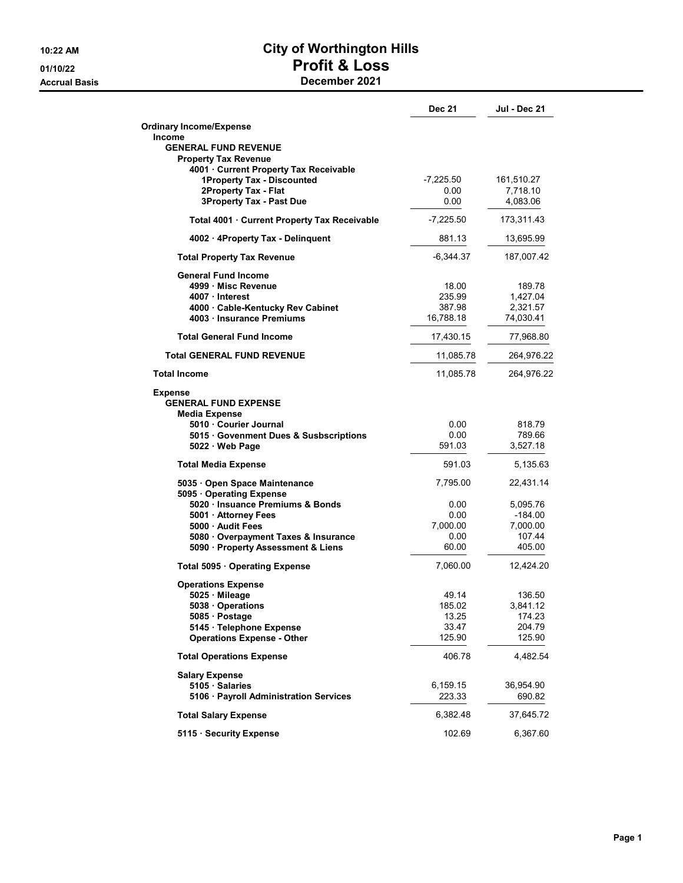## 10:22 AM **City of Worthington Hills** 01/10/22 Profit & Loss Accrual Basis December 2021

|                                                                     | <b>Dec 21</b>  | <b>Jul - Dec 21</b> |
|---------------------------------------------------------------------|----------------|---------------------|
| <b>Ordinary Income/Expense</b>                                      |                |                     |
| <b>Income</b>                                                       |                |                     |
| <b>GENERAL FUND REVENUE</b>                                         |                |                     |
| <b>Property Tax Revenue</b><br>4001 Current Property Tax Receivable |                |                     |
| 1Property Tax - Discounted                                          | -7,225.50      | 161,510.27          |
| 2Property Tax - Flat                                                | 0.00           | 7,718.10            |
| <b>3Property Tax - Past Due</b>                                     | 0.00           | 4,083.06            |
| Total 4001 · Current Property Tax Receivable                        | $-7,225.50$    | 173,311.43          |
| 4002 · 4Property Tax - Delinguent                                   | 881.13         | 13,695.99           |
| <b>Total Property Tax Revenue</b>                                   | $-6.344.37$    | 187,007.42          |
| <b>General Fund Income</b>                                          |                |                     |
| 4999 · Misc Revenue                                                 | 18.00          | 189.78              |
| 4007 Interest                                                       | 235.99         | 1,427.04            |
| 4000 Cable-Kentucky Rev Cabinet                                     | 387.98         | 2,321.57            |
| 4003 Insurance Premiums                                             | 16,788.18      | 74,030.41           |
| <b>Total General Fund Income</b>                                    | 17,430.15      | 77,968.80           |
| <b>Total GENERAL FUND REVENUE</b>                                   | 11,085.78      | 264,976.22          |
| <b>Total Income</b>                                                 | 11,085.78      | 264,976.22          |
| <b>Expense</b><br><b>GENERAL FUND EXPENSE</b>                       |                |                     |
| Media Expense<br>5010 Courier Journal                               | 0.00           | 818.79              |
| 5015 Govenment Dues & Susbscriptions                                | 0.00           | 789.66              |
| $5022 \cdot$ Web Page                                               | 591.03         | 3,527.18            |
| <b>Total Media Expense</b>                                          | 591.03         | 5,135.63            |
| 5035 · Open Space Maintenance                                       | 7,795.00       | 22,431.14           |
| 5095 · Operating Expense<br>5020 Insuance Premiums & Bonds          | 0.00           | 5,095.76            |
| 5001 · Attorney Fees                                                | 0.00           | -184.00             |
| 5000 Audit Fees                                                     | 7,000.00       | 7,000.00            |
| 5080 Overpayment Taxes & Insurance                                  | 0.00           | 107.44              |
| 5090 · Property Assessment & Liens                                  | 60.00          | 405.00              |
| Total 5095 · Operating Expense                                      | 7,060.00       | 12,424.20           |
| <b>Operations Expense</b>                                           |                |                     |
| 5025 Mileage                                                        | 49.14          | 136.50              |
| 5038 Operations                                                     | 185.02         | 3,841.12            |
| 5085 · Postage<br>5145 · Telephone Expense                          | 13.25<br>33.47 | 174.23<br>204.79    |
| <b>Operations Expense - Other</b>                                   | 125.90         | 125.90              |
| <b>Total Operations Expense</b>                                     | 406.78         | 4,482.54            |
| <b>Salary Expense</b>                                               |                |                     |
| 5105 Salaries                                                       | 6,159.15       | 36,954.90           |
| 5106 · Payroll Administration Services                              | 223.33         | 690.82              |
| <b>Total Salary Expense</b>                                         | 6,382.48       | 37,645.72           |
| 5115 · Security Expense                                             | 102.69         | 6,367.60            |